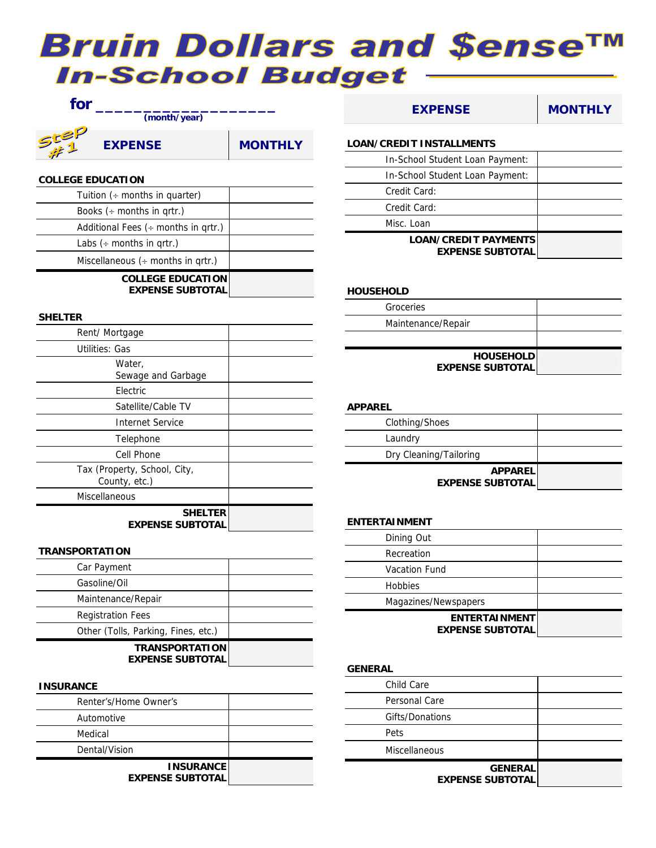# **Bruin Dollars and \$ense™ In-School Budget**



## **COLLEGE EDUCATION**

| Tuition $($ + months in quarter)                    |  |
|-----------------------------------------------------|--|
| Books $\leftrightarrow$ months in grtr.)            |  |
| Additional Fees $($ + months in grtr.)              |  |
| Labs $($ + months in grtr.)                         |  |
| Miscellaneous $($ + months in grtr.)                |  |
| <b>COLLEGE EDUCATION</b><br><b>EXPENSE SUBTOTAL</b> |  |

# **SHELTER**

| Rent/Mortgage                                 |  |
|-----------------------------------------------|--|
| Utilities: Gas                                |  |
| Water,<br>Sewage and Garbage                  |  |
| Electric                                      |  |
| Satellite/Cable TV                            |  |
| Internet Service                              |  |
| Telephone                                     |  |
| Cell Phone                                    |  |
| Tax (Property, School, City,<br>County, etc.) |  |
| Miscellaneous                                 |  |
| <b>SHELTER</b><br><b>EXPENSE SUBTOTAL</b>     |  |

#### **TRANSPORTATION**

| Car Payment                         |  |
|-------------------------------------|--|
| Gasoline/Oil                        |  |
| Maintenance/Repair                  |  |
| <b>Registration Fees</b>            |  |
| Other (Tolls, Parking, Fines, etc.) |  |
| <b>TRANSPORTATION</b>               |  |

**EXPENSE SUBTOTAL** 

#### **INSURANCE**

| Renter's/Home Owner's                       |  |
|---------------------------------------------|--|
| Automotive                                  |  |
| Medical                                     |  |
| Dental/Vision                               |  |
| <b>INSURANCE</b><br><b>EXPENSE SUBTOTAL</b> |  |

| <b>EXPENSE</b>                                         | <b>MONTHLY</b> |
|--------------------------------------------------------|----------------|
| <b>LOAN/CREDIT INSTALLMENTS</b>                        |                |
| In-School Student Loan Payment:                        |                |
| In-School Student Loan Payment:                        |                |
| Credit Card:                                           |                |
| Credit Card:                                           |                |
| Misc. Loan                                             |                |
| <b>LOAN/CREDIT PAYMENTS</b><br><b>EXPENSE SUBTOTAL</b> |                |

#### **HOUSEHOLD**

| Groceries                                   |  |
|---------------------------------------------|--|
| Maintenance/Repair                          |  |
|                                             |  |
| <b>HOUSEHOLD</b><br><b>EXPENSE SUBTOTAL</b> |  |
|                                             |  |

#### **APPAREL**

| <b>APPAREL</b><br><b>EXPENSE SUBTOTAL</b> |  |
|-------------------------------------------|--|
| Dry Cleaning/Tailoring                    |  |
| Laundry                                   |  |
| Clothing/Shoes                            |  |

### **ENTERTAINMENT**

| Magazines/Newspapers<br><b>ENTERTAINMENT</b><br><b>EXPENSE SUBTOTAL</b> |  |
|-------------------------------------------------------------------------|--|
| <b>Hobbies</b>                                                          |  |
| <b>Vacation Fund</b>                                                    |  |
| Recreation                                                              |  |
| Dining Out                                                              |  |
|                                                                         |  |

#### **GENERAL**

| Child Care                                |  |
|-------------------------------------------|--|
| Personal Care                             |  |
| Gifts/Donations                           |  |
| Pets                                      |  |
| Miscellaneous                             |  |
| <b>GENERAL</b><br><b>EXPENSE SUBTOTAL</b> |  |